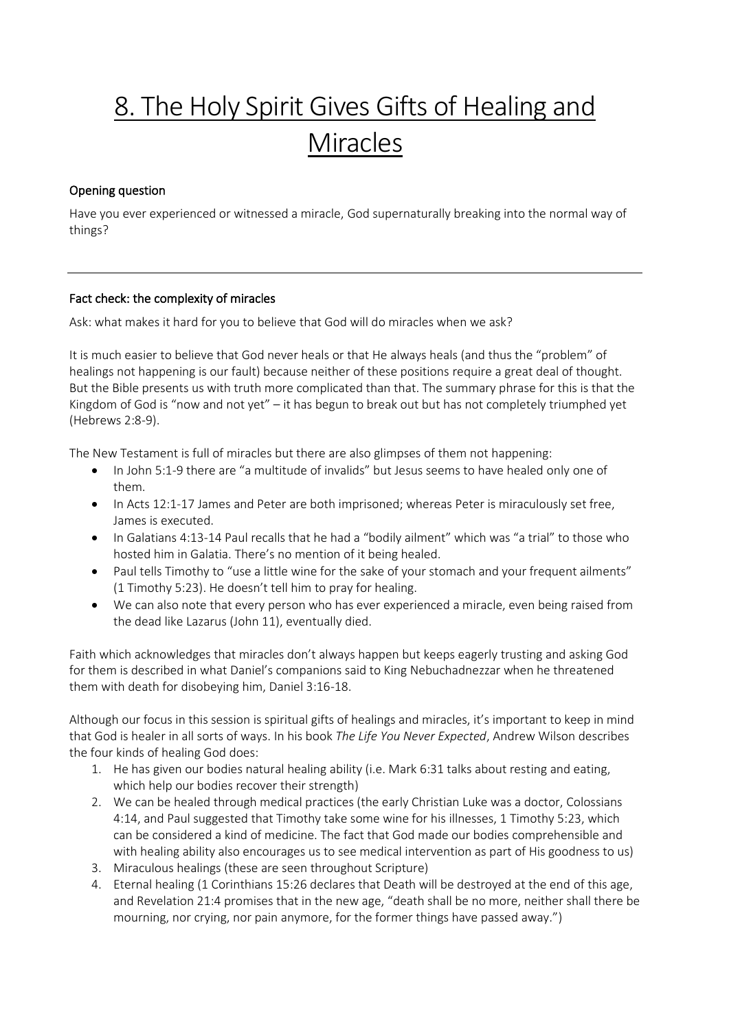# 8. The Holy Spirit Gives Gifts of Healing and Miracles

## Opening question

Have you ever experienced or witnessed a miracle, God supernaturally breaking into the normal way of things?

## Fact check: the complexity of miracles

Ask: what makes it hard for you to believe that God will do miracles when we ask?

It is much easier to believe that God never heals or that He always heals (and thus the "problem" of healings not happening is our fault) because neither of these positions require a great deal of thought. But the Bible presents us with truth more complicated than that. The summary phrase for this is that the Kingdom of God is "now and not yet" – it has begun to break out but has not completely triumphed yet (Hebrews 2:8-9).

The New Testament is full of miracles but there are also glimpses of them not happening:

- In John 5:1-9 there are "a multitude of invalids" but Jesus seems to have healed only one of them.
- In Acts 12:1-17 James and Peter are both imprisoned; whereas Peter is miraculously set free, James is executed.
- In Galatians 4:13-14 Paul recalls that he had a "bodily ailment" which was "a trial" to those who hosted him in Galatia. There's no mention of it being healed.
- Paul tells Timothy to "use a little wine for the sake of your stomach and your frequent ailments" (1 Timothy 5:23). He doesn't tell him to pray for healing.
- We can also note that every person who has ever experienced a miracle, even being raised from the dead like Lazarus (John 11), eventually died.

Faith which acknowledges that miracles don't always happen but keeps eagerly trusting and asking God for them is described in what Daniel's companions said to King Nebuchadnezzar when he threatened them with death for disobeying him, Daniel 3:16-18.

Although our focus in this session is spiritual gifts of healings and miracles, it's important to keep in mind that God is healer in all sorts of ways. In his book *The Life You Never Expected*, Andrew Wilson describes the four kinds of healing God does:

- 1. He has given our bodies natural healing ability (i.e. Mark 6:31 talks about resting and eating, which help our bodies recover their strength)
- 2. We can be healed through medical practices (the early Christian Luke was a doctor, Colossians 4:14, and Paul suggested that Timothy take some wine for his illnesses, 1 Timothy 5:23, which can be considered a kind of medicine. The fact that God made our bodies comprehensible and with healing ability also encourages us to see medical intervention as part of His goodness to us)
- 3. Miraculous healings (these are seen throughout Scripture)
- 4. Eternal healing (1 Corinthians 15:26 declares that Death will be destroyed at the end of this age, and Revelation 21:4 promises that in the new age, "death shall be no more, neither shall there be mourning, nor crying, nor pain anymore, for the former things have passed away.")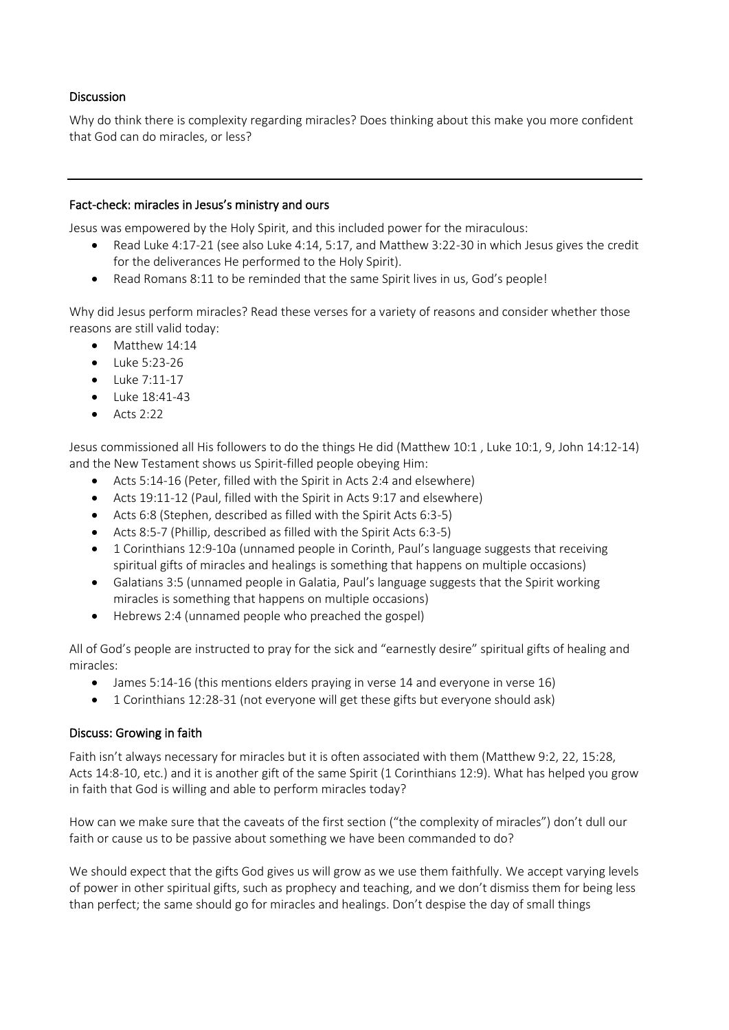## Discussion

Why do think there is complexity regarding miracles? Does thinking about this make you more confident that God can do miracles, or less?

#### Fact-check: miracles in Jesus's ministry and ours

Jesus was empowered by the Holy Spirit, and this included power for the miraculous:

- Read Luke 4:17-21 (see also Luke 4:14, 5:17, and Matthew 3:22-30 in which Jesus gives the credit for the deliverances He performed to the Holy Spirit).
- Read Romans 8:11 to be reminded that the same Spirit lives in us, God's people!

Why did Jesus perform miracles? Read these verses for a variety of reasons and consider whether those reasons are still valid today:

- Matthew 14:14
- Luke 5:23-26
- Luke 7:11-17
- Luke 18:41-43
- $\bullet$  Acts 2:22

Jesus commissioned all His followers to do the things He did (Matthew 10:1 , Luke 10:1, 9, John 14:12-14) and the New Testament shows us Spirit-filled people obeying Him:

- Acts 5:14-16 (Peter, filled with the Spirit in Acts 2:4 and elsewhere)
- Acts 19:11-12 (Paul, filled with the Spirit in Acts 9:17 and elsewhere)
- Acts 6:8 (Stephen, described as filled with the Spirit Acts 6:3-5)
- Acts 8:5-7 (Phillip, described as filled with the Spirit Acts 6:3-5)
- 1 Corinthians 12:9-10a (unnamed people in Corinth, Paul's language suggests that receiving spiritual gifts of miracles and healings is something that happens on multiple occasions)
- Galatians 3:5 (unnamed people in Galatia, Paul's language suggests that the Spirit working miracles is something that happens on multiple occasions)
- Hebrews 2:4 (unnamed people who preached the gospel)

All of God's people are instructed to pray for the sick and "earnestly desire" spiritual gifts of healing and miracles:

- James 5:14-16 (this mentions elders praying in verse 14 and everyone in verse 16)
- 1 Corinthians 12:28-31 (not everyone will get these gifts but everyone should ask)

#### Discuss: Growing in faith

Faith isn't always necessary for miracles but it is often associated with them (Matthew 9:2, 22, 15:28, Acts 14:8-10, etc.) and it is another gift of the same Spirit (1 Corinthians 12:9). What has helped you grow in faith that God is willing and able to perform miracles today?

How can we make sure that the caveats of the first section ("the complexity of miracles") don't dull our faith or cause us to be passive about something we have been commanded to do?

We should expect that the gifts God gives us will grow as we use them faithfully. We accept varying levels of power in other spiritual gifts, such as prophecy and teaching, and we don't dismiss them for being less than perfect; the same should go for miracles and healings. Don't despise the day of small things